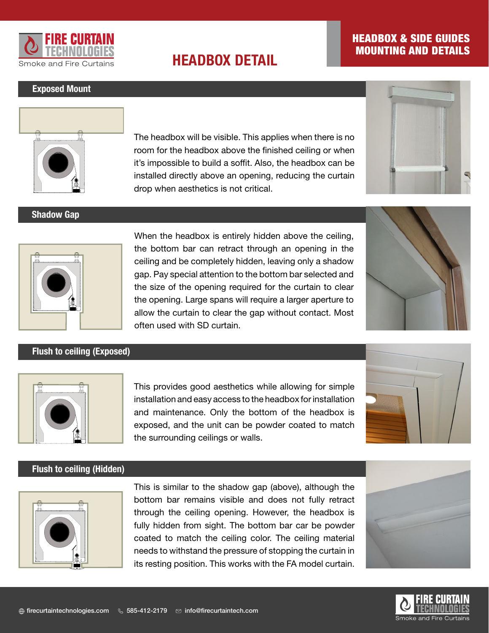

# **HEADBOX DETAIL**

## HEADBOX & SIDE GUIDES MOUNTING AND DETAILS

#### Exposed Mount



Shadow Gap

room for the headbox above the finished ceiling or when The headbox will be visible. This applies when there is no it's impossible to build a soffit. Also, the headbox can be installed directly above an opening, reducing the curtain drop when aesthetics is not critical.





### Flush to ceiling (Exposed)

When the headbox is entirely hidden above the ceiling, the bottom bar can retract through an opening in the ceiling and be completely hidden, leaving only a shadow gap. Pay special attention to the bottom bar selected and the size of the opening required for the curtain to clear the opening. Large spans will require a larger aperture to allow the curtain to clear the gap without contact. Most often used with SD curtain.





## This provides good aesthetics while allowing for simple installation and easy access to the headbox for installation and maintenance. Only the bottom of the headbox is exposed, and the unit can be powder coated to match the surrounding ceilings or walls.



#### Flush to ceiling (Hidden)



This is similar to the shadow gap (above), although the bottom bar remains visible and does not fully retract through the ceiling opening. However, the headbox is fully hidden from sight. The bottom bar car be powder coated to match the ceiling color. The ceiling material needs to withstand the pressure of stopping the curtain in its resting position. This works with the FA model curtain.



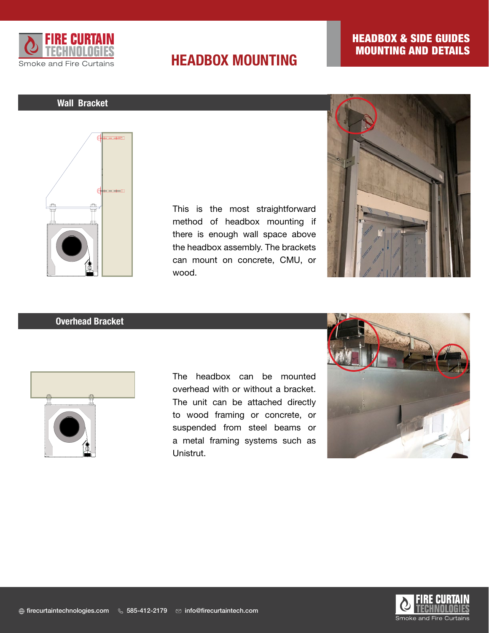

# **HEADBOX MOUNTING**

## HEADBOX & SIDE GUIDES MOUNTING AND DETAILS

### Wall Bracket



This is the most straightforward method of headbox mounting if there is enough wall space above the headbox assembly. The brackets can mount on concrete, CMU, or wood.



#### Overhead Bracket



The headbox can be mounted overhead with or without a bracket. The unit can be attached directly to wood framing or concrete, or suspended from steel beams or a metal framing systems such as Unistrut.